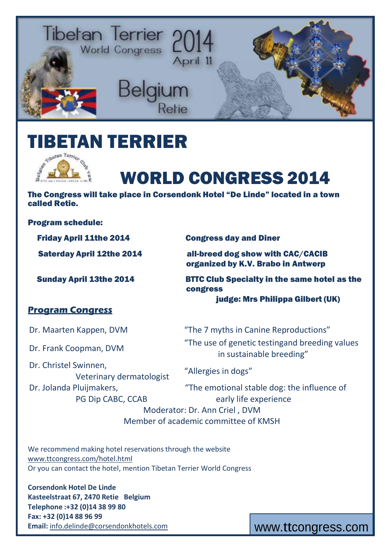

## ETAN TERRIER



# WORLD CONGRESS 2014

The Congress will take place in Corsendonk Hotel "De Linde" located in a town called Retie.

Program schedule:

Friday April 11the 2014 Congress day and Diner

Saterday April 12the 2014 all-breed dog show with CAC/CACIB organized by K.V. Brabo in Antwerp

Sunday April 13the 2014 BTTC Club Specialty in the same hotel as the congress judge: Mrs Philippa Gilbert (UK)

#### **Program Congress**

Dr. Christel Swinnen, Veterinary dermatologist Dr. Jolanda Pluijmakers,

PG Dip CABC, CCAB

Dr. Maarten Kappen, DVM "The 7 myths in Canine Reproductions" Dr. Frank Coopman, DVM "The use of genetic testingand breeding values in sustainable breeding"

"Allergies in dogs"

"The emotional stable dog: the influence of early life experience Moderator: Dr. Ann Criel , DVM

Member of academic committee of KMSH

We recommend making hotel reservations through the website [www.ttcongress.com/hotel.html](http://www.ttcongress.com/hotel.html) Or you can contact the hotel, mention Tibetan Terrier World Congress

**Corsendonk Hotel De Linde Kasteelstraat 67, 2470 Retie Belgium Telephone :+32 (0)14 38 99 80 Fax: +32 (0)14 88 96 99** Email: [info.delinde@corsendonkhotels.com](mailto:info.delinde@corsendonkhotels.com) **[www.ttcongress.com](mailto:info.delinde@corsendonkhotels.com)**